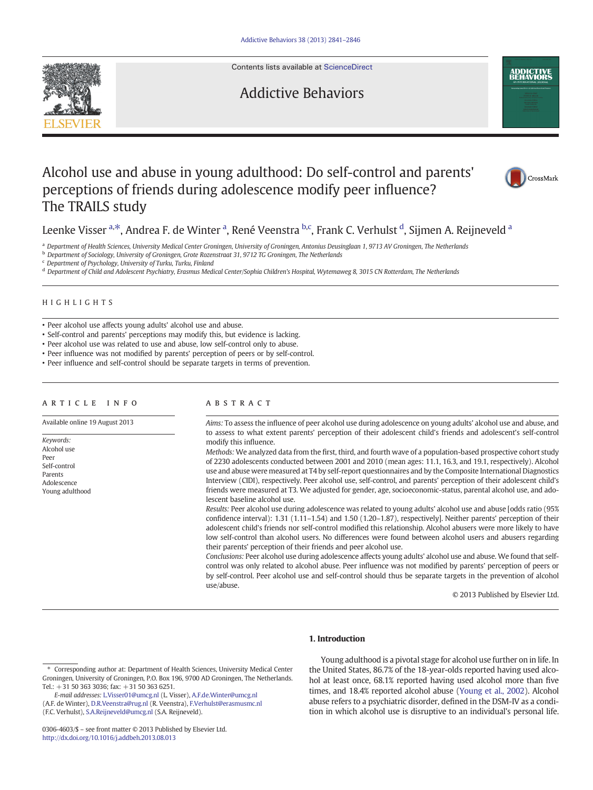Contents lists available at [ScienceDirect](http://www.sciencedirect.com/science/journal/03064603)

Addictive Behaviors



# Alcohol use and abuse in young adulthood: Do self-control and parents' perceptions of friends during adolescence modify peer influence? The TRAILS study



Leenke Visser <sup>a,\*</sup>, Andrea F. de Winter <sup>a</sup>, René Veenstra <sup>b,c</sup>, Frank C. Verhulst <sup>d</sup>, Sijmen A. Reijneveld <sup>a</sup>

a Department of Health Sciences, University Medical Center Groningen, University of Groningen, Antonius Deusinglaan 1, 9713 AV Groningen, The Netherlands

<sup>b</sup> Department of Sociology, University of Groningen, Grote Rozenstraat 31, 9712 TG Groningen, The Netherlands

<sup>c</sup> Department of Psychology, University of Turku, Turku, Finland

<sup>d</sup> Department of Child and Adolescent Psychiatry, Erasmus Medical Center/Sophia Children's Hospital, Wytemaweg 8, 3015 CN Rotterdam, The Netherlands

## HIGHLIGHTS

• Peer alcohol use affects young adults' alcohol use and abuse.

• Self-control and parents' perceptions may modify this, but evidence is lacking.

• Peer alcohol use was related to use and abuse, low self-control only to abuse.

• Peer influence was not modified by parents' perception of peers or by self-control.

• Peer influence and self-control should be separate targets in terms of prevention.

## article info abstract

Available online 19 August 2013

Keywords: Alcohol use Peer Self-control Parents Adolescence Young adulthood

Aims: To assess the influence of peer alcohol use during adolescence on young adults' alcohol use and abuse, and to assess to what extent parents' perception of their adolescent child's friends and adolescent's self-control modify this influence.

Methods: We analyzed data from the first, third, and fourth wave of a population-based prospective cohort study of 2230 adolescents conducted between 2001 and 2010 (mean ages: 11.1, 16.3, and 19.1, respectively). Alcohol use and abuse were measured at T4 by self-report questionnaires and by the Composite International Diagnostics Interview (CIDI), respectively. Peer alcohol use, self-control, and parents' perception of their adolescent child's friends were measured at T3. We adjusted for gender, age, socioeconomic-status, parental alcohol use, and adolescent baseline alcohol use.

Results: Peer alcohol use during adolescence was related to young adults' alcohol use and abuse [odds ratio (95% confidence interval): 1.31 (1.11–1.54) and 1.50 (1.20–1.87), respectively]. Neither parents' perception of their adolescent child's friends nor self-control modified this relationship. Alcohol abusers were more likely to have low self-control than alcohol users. No differences were found between alcohol users and abusers regarding their parents' perception of their friends and peer alcohol use.

Conclusions: Peer alcohol use during adolescence affects young adults' alcohol use and abuse. We found that selfcontrol was only related to alcohol abuse. Peer influence was not modified by parents' perception of peers or by self-control. Peer alcohol use and self-control should thus be separate targets in the prevention of alcohol use/abuse.

© 2013 Published by Elsevier Ltd.

## 1. Introduction

Young adulthood is a pivotal stage for alcohol use further on in life. In the United States, 86.7% of the 18-year-olds reported having used alcohol at least once, 68.1% reported having used alcohol more than five times, and 18.4% reported alcohol abuse ([Young et al., 2002\)](#page-5-0). Alcohol abuse refers to a psychiatric disorder, defined in the DSM-IV as a condition in which alcohol use is disruptive to an individual's personal life.

<sup>⁎</sup> Corresponding author at: Department of Health Sciences, University Medical Center Groningen, University of Groningen, P.O. Box 196, 9700 AD Groningen, The Netherlands. Tel.: +31 50 363 3036; fax: +31 50 363 6251.

E-mail addresses: [L.Visser01@umcg.nl](mailto:L.Visser01@umcg.nl) (L. Visser), [A.F.de.Winter@umcg.nl](mailto:A.F.de.Winter@umcg.nl) (A.F. de Winter), [D.R.Veenstra@rug.nl](mailto:D.R.Veenstra@rug.nl) (R. Veenstra), [F.Verhulst@erasmusmc.nl](mailto:F.Verhulst@erasmusmc.nl) (F.C. Verhulst), [S.A.Reijneveld@umcg.nl](mailto:S.A.Reijneveld@umcg.nl) (S.A. Reijneveld).

<sup>0306-4603/\$</sup> – see front matter © 2013 Published by Elsevier Ltd. <http://dx.doi.org/10.1016/j.addbeh.2013.08.013>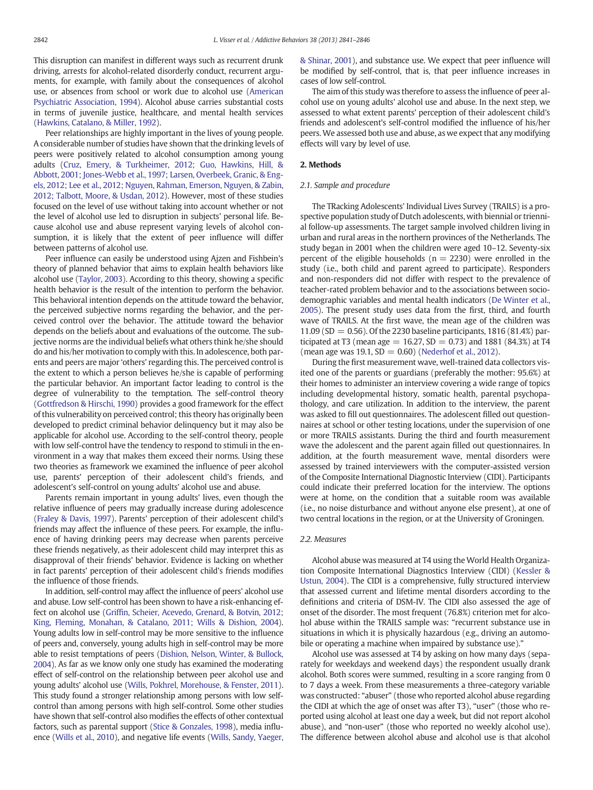This disruption can manifest in different ways such as recurrent drunk driving, arrests for alcohol-related disorderly conduct, recurrent arguments, for example, with family about the consequences of alcohol use, or absences from school or work due to alcohol use ([American](#page-4-0) [Psychiatric Association, 1994\)](#page-4-0). Alcohol abuse carries substantial costs in terms of juvenile justice, healthcare, and mental health services [\(Hawkins, Catalano, & Miller, 1992\)](#page-5-0).

Peer relationships are highly important in the lives of young people. A considerable number of studies have shown that the drinking levels of peers were positively related to alcohol consumption among young adults ([Cruz, Emery, & Turkheimer, 2012; Guo, Hawkins, Hill, &](#page-5-0) [Abbott, 2001; Jones-Webb et al., 1997; Larsen, Overbeek, Granic, & Eng](#page-5-0)[els, 2012; Lee et al., 2012; Nguyen, Rahman, Emerson, Nguyen, & Zabin,](#page-5-0) [2012; Talbott, Moore, & Usdan, 2012\)](#page-5-0). However, most of these studies focused on the level of use without taking into account whether or not the level of alcohol use led to disruption in subjects' personal life. Because alcohol use and abuse represent varying levels of alcohol consumption, it is likely that the extent of peer influence will differ between patterns of alcohol use.

Peer influence can easily be understood using Ajzen and Fishbein's theory of planned behavior that aims to explain health behaviors like alcohol use [\(Taylor, 2003\)](#page-5-0). According to this theory, showing a specific health behavior is the result of the intention to perform the behavior. This behavioral intention depends on the attitude toward the behavior, the perceived subjective norms regarding the behavior, and the perceived control over the behavior. The attitude toward the behavior depends on the beliefs about and evaluations of the outcome. The subjective norms are the individual beliefs what others think he/she should do and his/her motivation to comply with this. In adolescence, both parents and peers are major 'others' regarding this. The perceived control is the extent to which a person believes he/she is capable of performing the particular behavior. An important factor leading to control is the degree of vulnerability to the temptation. The self-control theory [\(Gottfredson & Hirschi, 1990](#page-5-0)) provides a good framework for the effect of this vulnerability on perceived control; this theory has originally been developed to predict criminal behavior delinquency but it may also be applicable for alcohol use. According to the self-control theory, people with low self-control have the tendency to respond to stimuli in the environment in a way that makes them exceed their norms. Using these two theories as framework we examined the influence of peer alcohol use, parents' perception of their adolescent child's friends, and adolescent's self-control on young adults' alcohol use and abuse.

Parents remain important in young adults' lives, even though the relative influence of peers may gradually increase during adolescence [\(Fraley & Davis, 1997\)](#page-5-0). Parents' perception of their adolescent child's friends may affect the influence of these peers. For example, the influence of having drinking peers may decrease when parents perceive these friends negatively, as their adolescent child may interpret this as disapproval of their friends' behavior. Evidence is lacking on whether in fact parents' perception of their adolescent child's friends modifies the influence of those friends.

In addition, self-control may affect the influence of peers' alcohol use and abuse. Low self-control has been shown to have a risk-enhancing effect on alcohol use (Griffi[n, Scheier, Acevedo, Grenard, & Botvin, 2012;](#page-5-0) [King, Fleming, Monahan, & Catalano, 2011; Wills & Dishion, 2004\)](#page-5-0). Young adults low in self-control may be more sensitive to the influence of peers and, conversely, young adults high in self-control may be more able to resist temptations of peers [\(Dishion, Nelson, Winter, & Bullock,](#page-5-0) [2004](#page-5-0)). As far as we know only one study has examined the moderating effect of self-control on the relationship between peer alcohol use and young adults' alcohol use [\(Wills, Pokhrel, Morehouse, & Fenster, 2011\)](#page-5-0). This study found a stronger relationship among persons with low selfcontrol than among persons with high self-control. Some other studies have shown that self-control also modifies the effects of other contextual factors, such as parental support [\(Stice & Gonzales, 1998\)](#page-5-0), media influence ([Wills et al., 2010\)](#page-5-0), and negative life events ([Wills, Sandy, Yaeger,](#page-5-0) [& Shinar, 2001\)](#page-5-0), and substance use. We expect that peer influence will be modified by self-control, that is, that peer influence increases in cases of low self-control.

The aim of this study was therefore to assess the influence of peer alcohol use on young adults' alcohol use and abuse. In the next step, we assessed to what extent parents' perception of their adolescent child's friends and adolescent's self-control modified the influence of his/her peers.We assessed both use and abuse, as we expect that any modifying effects will vary by level of use.

### 2. Methods

## 2.1. Sample and procedure

The TRacking Adolescents' Individual Lives Survey (TRAILS) is a prospective population study of Dutch adolescents, with biennial or triennial follow-up assessments. The target sample involved children living in urban and rural areas in the northern provinces of the Netherlands. The study began in 2001 when the children were aged 10–12. Seventy-six percent of the eligible households ( $n = 2230$ ) were enrolled in the study (i.e., both child and parent agreed to participate). Responders and non-responders did not differ with respect to the prevalence of teacher-rated problem behavior and to the associations between sociodemographic variables and mental health indicators [\(De Winter et al.,](#page-5-0) [2005\)](#page-5-0). The present study uses data from the first, third, and fourth wave of TRAILS. At the first wave, the mean age of the children was 11.09 (SD = 0.56). Of the 2230 baseline participants, 1816 (81.4%) participated at T3 (mean age =  $16.27$ , SD = 0.73) and 1881 (84.3%) at T4 (mean age was 19.1,  $SD = 0.60$ ) [\(Nederhof et al., 2012](#page-5-0)).

During the first measurement wave, well-trained data collectors visited one of the parents or guardians (preferably the mother: 95.6%) at their homes to administer an interview covering a wide range of topics including developmental history, somatic health, parental psychopathology, and care utilization. In addition to the interview, the parent was asked to fill out questionnaires. The adolescent filled out questionnaires at school or other testing locations, under the supervision of one or more TRAILS assistants. During the third and fourth measurement wave the adolescent and the parent again filled out questionnaires. In addition, at the fourth measurement wave, mental disorders were assessed by trained interviewers with the computer-assisted version of the Composite International Diagnostic Interview (CIDI). Participants could indicate their preferred location for the interview. The options were at home, on the condition that a suitable room was available (i.e., no noise disturbance and without anyone else present), at one of two central locations in the region, or at the University of Groningen.

#### 2.2. Measures

Alcohol abuse was measured at T4 using the World Health Organization Composite International Diagnostics Interview (CIDI) ([Kessler &](#page-5-0) [Ustun, 2004](#page-5-0)). The CIDI is a comprehensive, fully structured interview that assessed current and lifetime mental disorders according to the definitions and criteria of DSM-IV. The CIDI also assessed the age of onset of the disorder. The most frequent (76.8%) criterion met for alcohol abuse within the TRAILS sample was: "recurrent substance use in situations in which it is physically hazardous (e.g., driving an automobile or operating a machine when impaired by substance use)."

Alcohol use was assessed at T4 by asking on how many days (separately for weekdays and weekend days) the respondent usually drank alcohol. Both scores were summed, resulting in a score ranging from 0 to 7 days a week. From these measurements a three-category variable was constructed: "abuser" (those who reported alcohol abuse regarding the CIDI at which the age of onset was after T3), "user" (those who reported using alcohol at least one day a week, but did not report alcohol abuse), and "non-user" (those who reported no weekly alcohol use). The difference between alcohol abuse and alcohol use is that alcohol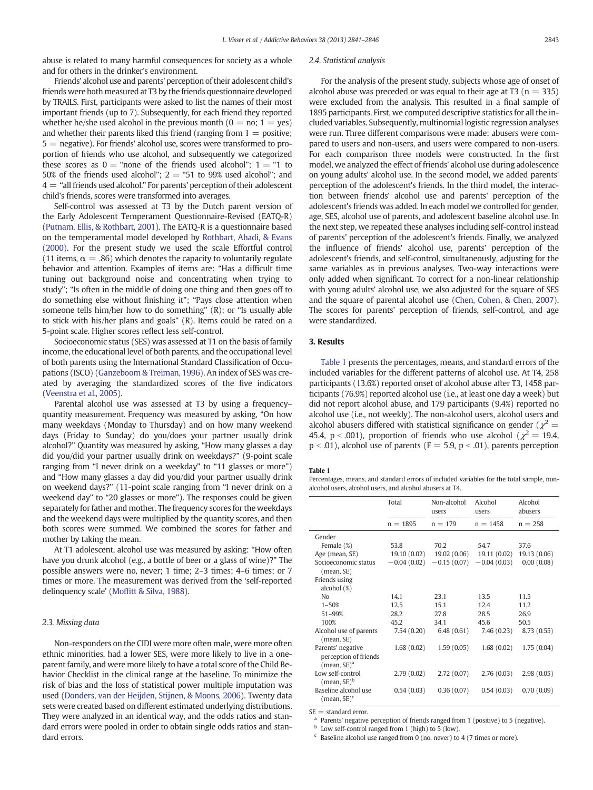abuse is related to many harmful consequences for society as a whole and for others in the drinker's environment.

Friends' alcohol use and parents' perception of their adolescent child's friends were both measured at T3 by the friends questionnaire developed by TRAILS. First, participants were asked to list the names of their most important friends (up to 7). Subsequently, for each friend they reported whether he/she used alcohol in the previous month ( $0 = \text{no}$ ;  $1 = \text{yes}$ ) and whether their parents liked this friend (ranging from  $1 =$  positive;  $5 =$  negative). For friends' alcohol use, scores were transformed to proportion of friends who use alcohol, and subsequently we categorized these scores as  $0 =$  "none of the friends used alcohol";  $1 =$  "1 to 50% of the friends used alcohol";  $2 = 51$  to 99% used alcohol"; and  $4 =$  "all friends used alcohol." For parents' perception of their adolescent child's friends, scores were transformed into averages.

Self-control was assessed at T3 by the Dutch parent version of the Early Adolescent Temperament Questionnaire-Revised (EATQ-R) [\(Putnam, Ellis, & Rothbart, 2001](#page-5-0)). The EATQ-R is a questionnaire based on the temperamental model developed by [Rothbart, Ahadi, & Evans](#page-5-0) [\(2000\)](#page-5-0). For the present study we used the scale Effortful control (11 items,  $\alpha = .86$ ) which denotes the capacity to voluntarily regulate behavior and attention. Examples of items are: "Has a difficult time tuning out background noise and concentrating when trying to study"; "Is often in the middle of doing one thing and then goes off to do something else without finishing it"; "Pays close attention when someone tells him/her how to do something" (R); or "Is usually able to stick with his/her plans and goals" (R). Items could be rated on a 5-point scale. Higher scores reflect less self-control.

Socioeconomic status (SES) was assessed at T1 on the basis of family income, the educational level of both parents, and the occupational level of both parents using the International Standard Classification of Occupations (ISCO) [\(Ganzeboom & Treiman, 1996\)](#page-5-0). An index of SES was created by averaging the standardized scores of the five indicators [\(Veenstra et al., 2005\)](#page-5-0).

Parental alcohol use was assessed at T3 by using a frequency– quantity measurement. Frequency was measured by asking, "On how many weekdays (Monday to Thursday) and on how many weekend days (Friday to Sunday) do you/does your partner usually drink alcohol?" Quantity was measured by asking, "How many glasses a day did you/did your partner usually drink on weekdays?" (9-point scale ranging from "I never drink on a weekday" to "11 glasses or more") and "How many glasses a day did you/did your partner usually drink on weekend days?" (11-point scale ranging from "I never drink on a weekend day" to "20 glasses or more"). The responses could be given separately for father and mother. The frequency scores for the weekdays and the weekend days were multiplied by the quantity scores, and then both scores were summed. We combined the scores for father and mother by taking the mean.

At T1 adolescent, alcohol use was measured by asking: "How often have you drunk alcohol (e.g., a bottle of beer or a glass of wine)?" The possible answers were no, never; 1 time; 2–3 times; 4–6 times; or 7 times or more. The measurement was derived from the 'self-reported delinquency scale' (Moffi[tt & Silva, 1988](#page-5-0)).

## 2.3. Missing data

Non-responders on the CIDI were more often male, were more often ethnic minorities, had a lower SES, were more likely to live in a oneparent family, and were more likely to have a total score of the Child Behavior Checklist in the clinical range at the baseline. To minimize the risk of bias and the loss of statistical power multiple imputation was used [\(Donders, van der Heijden, Stijnen, & Moons, 2006\)](#page-5-0). Twenty data sets were created based on different estimated underlying distributions. They were analyzed in an identical way, and the odds ratios and standard errors were pooled in order to obtain single odds ratios and standard errors.

## 2.4. Statistical analysis

For the analysis of the present study, subjects whose age of onset of alcohol abuse was preceded or was equal to their age at T3 ( $n = 335$ ) were excluded from the analysis. This resulted in a final sample of 1895 participants. First, we computed descriptive statistics for all the included variables. Subsequently, multinomial logistic regression analyses were run. Three different comparisons were made: abusers were compared to users and non-users, and users were compared to non-users. For each comparison three models were constructed. In the first model, we analyzed the effect of friends' alcohol use during adolescence on young adults' alcohol use. In the second model, we added parents' perception of the adolescent's friends. In the third model, the interaction between friends' alcohol use and parents' perception of the adolescent's friends was added. In each model we controlled for gender, age, SES, alcohol use of parents, and adolescent baseline alcohol use. In the next step, we repeated these analyses including self-control instead of parents' perception of the adolescent's friends. Finally, we analyzed the influence of friends' alcohol use, parents' perception of the adolescent's friends, and self-control, simultaneously, adjusting for the same variables as in previous analyses. Two-way interactions were only added when significant. To correct for a non-linear relationship with young adults' alcohol use, we also adjusted for the square of SES and the square of parental alcohol use [\(Chen, Cohen, & Chen, 2007](#page-5-0)). The scores for parents' perception of friends, self-control, and age were standardized.

## 3. Results

Table 1 presents the percentages, means, and standard errors of the included variables for the different patterns of alcohol use. At T4, 258 participants (13.6%) reported onset of alcohol abuse after T3, 1458 participants (76.9%) reported alcohol use (i.e., at least one day a week) but did not report alcohol abuse, and 179 participants (9.4%) reported no alcohol use (i.e., not weekly). The non-alcohol users, alcohol users and alcohol abusers differed with statistical significance on gender ( $\chi^2$  = 45.4, p < .001), proportion of friends who use alcohol ( $\chi^2 = 19.4$ ,  $p < .01$ ), alcohol use of parents (F = 5.9, p < .01), parents perception

### Table 1

Percentages, means, and standard errors of included variables for the total sample, nonalcohol users, alcohol users, and alcohol abusers at T4.

|                                                                       | Total                                 | Non-alcohol<br>users                  | Alcohol<br>users                      | Alcohol<br>abusers                 |
|-----------------------------------------------------------------------|---------------------------------------|---------------------------------------|---------------------------------------|------------------------------------|
|                                                                       | $n = 1895$                            | $n = 179$                             | $n = 1458$                            | $n = 258$                          |
| Gender<br>Female (%)<br>Age (mean, SE)<br>Socioeconomic status        | 53.8<br>19.10 (0.02)<br>$-0.04(0.02)$ | 70.2<br>19.02 (0.06)<br>$-0.15(0.07)$ | 54.7<br>19.11 (0.02)<br>$-0.04(0.03)$ | 37.6<br>19.13 (0.06)<br>0.00(0.08) |
| (mean, SE)<br>Friends using<br>alcohol $(\%)$                         |                                       |                                       |                                       |                                    |
| N <sub>0</sub>                                                        | 14.1                                  | 23.1                                  | 13.5                                  | 11.5                               |
| $1 - 50%$                                                             | 12.5                                  | 15.1                                  | 12.4                                  | 11.2                               |
| $51 - 99%$                                                            | 28.2                                  | 27.8                                  | 28.5                                  | 26.9                               |
| 100%                                                                  | 45.2                                  | 34.1                                  | 45.6                                  | 50.5                               |
| Alcohol use of parents<br>(mean, SE)                                  | 7.54(0.20)                            | 6.48(0.61)                            | 7.46(0.23)                            | 8.73(0.55)                         |
| Parents' negative<br>perception of friends<br>(mean, SE) <sup>a</sup> | 1.68(0.02)                            | 1.59(0.05)                            | 1.68(0.02)                            | 1.75(0.04)                         |
| Low self-control<br>$(mean, SE)^b$                                    | 2.79(0.02)                            | 2.72(0.07)                            | 2.76(0.03)                            | 2.98(0.05)                         |
| Baseline alcohol use<br>$(mean, SE)^c$                                | 0.54(0.03)                            | 0.36(0.07)                            | 0.54(0.03)                            | 0.70(0.09)                         |

 $SE = standard error$ .

Parents' negative perception of friends ranged from 1 (positive) to 5 (negative).

 $<sup>b</sup>$  Low self-control ranged from 1 (high) to 5 (low).</sup>

Baseline alcohol use ranged from  $0$  (no, never) to  $4$  (7 times or more).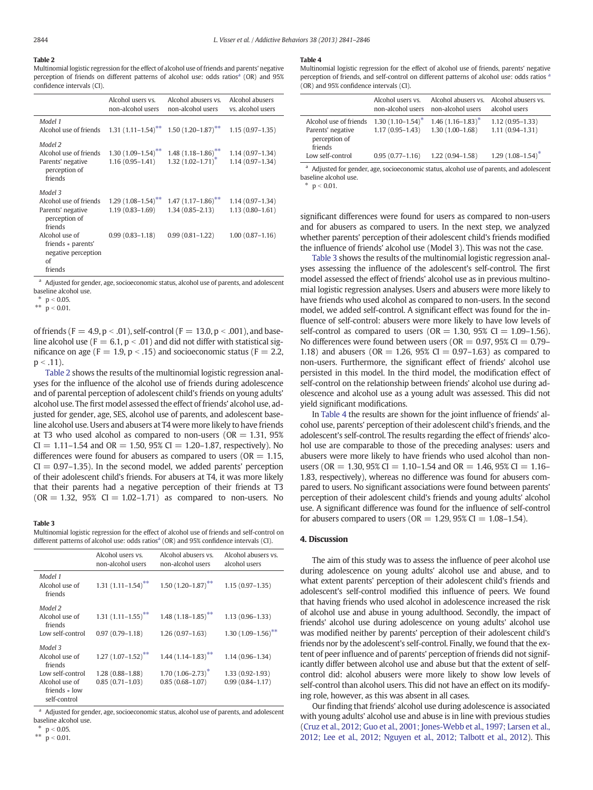## Table 2

Multinomial logistic regression for the effect of alcohol use of friends and parents' negative perception of friends on different patterns of alcohol use: odds ratios<sup>a</sup> (OR) and 95% confidence intervals (CI).

|                                                                                    | Alcohol users vs.<br>non-alcohol users      | Alcohol abusers vs.<br>non-alcohol users                   | Alcohol abusers<br>ys. alcohol users     |
|------------------------------------------------------------------------------------|---------------------------------------------|------------------------------------------------------------|------------------------------------------|
| Model 1<br>Alcohol use of friends                                                  |                                             | 1.31 $(1.11 - 1.54)^{**}$ 1.50 $(1.20 - 1.87)^{**}$        | $1.15(0.97-1.35)$                        |
| Model 2<br>Alcohol use of friends<br>Parents' negative<br>perception of<br>friends | $1.30(1.09-1.54)$ **<br>$1.16(0.95 - 1.41)$ | $1.48$ (1.18-1.86) <sup>**</sup><br>1.32 $(1.02 - 1.71)^*$ | $1.14(0.97-1.34)$<br>$1.14(0.97-1.34)$   |
| Model 3<br>Alcohol use of friends<br>Parents' negative<br>perception of<br>friends | $1.29(1.08-1.54)$ **<br>$1.19(0.83 - 1.69)$ | $1.47(1.17-1.86)$ <sup>**</sup><br>$1.34(0.85 - 2.13)$     | $1.14(0.97-1.34)$<br>$1.13(0.80 - 1.61)$ |
| Alcohol use of<br>friends * parents'<br>negative perception<br>of<br>friends       | $0.99(0.83 - 1.18)$                         | $0.99(0.81 - 1.22)$                                        | $1.00(0.87 - 1.16)$                      |

<sup>a</sup> Adjusted for gender, age, socioeconomic status, alcohol use of parents, and adolescent baseline alcohol use.

of friends (F = 4.9, p < .01), self-control (F = 13.0, p < .001), and baseline alcohol use ( $F = 6.1$ ,  $p < .01$ ) and did not differ with statistical significance on age ( $F = 1.9$ ,  $p < .15$ ) and socioeconomic status ( $F = 2.2$ ,  $p < .11$ ).

Table 2 shows the results of the multinomial logistic regression analyses for the influence of the alcohol use of friends during adolescence and of parental perception of adolescent child's friends on young adults' alcohol use. The first model assessed the effect of friends' alcohol use, adjusted for gender, age, SES, alcohol use of parents, and adolescent baseline alcohol use. Users and abusers at T4 were more likely to have friends at T3 who used alcohol as compared to non-users ( $OR = 1.31$ ,  $95\%$  $CI = 1.11 - 1.54$  and  $OR = 1.50$ , 95%  $CI = 1.20 - 1.87$ , respectively). No differences were found for abusers as compared to users ( $OR = 1.15$ ,  $CI = 0.97-1.35$ ). In the second model, we added parents' perception of their adolescent child's friends. For abusers at T4, it was more likely that their parents had a negative perception of their friends at T3  $(OR = 1.32, 95\% \text{ CI} = 1.02-1.71)$  as compared to non-users. No

#### Table 3

Multinomial logistic regression for the effect of alcohol use of friends and self-control on different patterns of alcohol use: odds ratios<sup>a</sup> (OR) and 95% confidence intervals (CI).

|                                                                       | Alcohol users vs.<br>non-alcohol users   | Alcohol abusers vs.<br>non-alcohol users     | Alcohol abusers vs.<br>alcohol users       |
|-----------------------------------------------------------------------|------------------------------------------|----------------------------------------------|--------------------------------------------|
| Model 1<br>Alcohol use of<br>friends                                  | $1.31 (1.11 - 1.54)^{**}$                | $1.50(1.20-1.87)$ **                         | $1.15(0.97-1.35)$                          |
| Model 2<br>Alcohol use of<br>friends                                  | $1.31 (1.11 - 1.55)^{**}$                | $1.48(1.18-1.85)$ <sup>**</sup>              | $1.13(0.96-1.33)$                          |
| Low self-control                                                      | $0.97(0.79 - 1.18)$                      | $1.26(0.97-1.63)$                            | 1.30 $(1.09-1.56)^{**}$                    |
| Model 3<br>Alcohol use of<br>friends                                  | $1,27$ (1.07-1.52) <sup>**</sup>         | $1.44(1.14 - 1.83)$ <sup>**</sup>            | $1.14(0.96 - 1.34)$                        |
| Low self-control<br>Alcohol use of<br>friends $*$ low<br>self-control | $1.28(0.88 - 1.88)$<br>$0.85(0.71-1.03)$ | $1.70(1.06 - 2.73)^*$<br>$0.85(0.68 - 1.07)$ | $1.33(0.92 - 1.93)$<br>$0.99(0.84 - 1.17)$ |

Adjusted for gender, age, socioeconomic status, alcohol use of parents, and adolescent baseline alcohol use.

\*  $p < 0.05$ .

\*\*  $p < 0.01$ .

#### Table 4

Multinomial logistic regression for the effect of alcohol use of friends, parents' negative perception of friends, and self-control on different patterns of alcohol use: odds ratios <sup>a</sup> (OR) and 95% confidence intervals (CI).

|                                                                         | Alcohol users vs.<br>non-alcohol users     | Alcohol abusers vs<br>non-alcohol users    | Alcohol abusers vs.<br>alcohol users       |
|-------------------------------------------------------------------------|--------------------------------------------|--------------------------------------------|--------------------------------------------|
| Alcohol use of friends<br>Parents' negative<br>perception of<br>friends | $1.30(1.10-1.54)^*$<br>$1.17(0.95 - 1.43)$ | $1.46(1.16-1.83)^{*}$<br>$1.30(1.00-1.68)$ | $1.12(0.95 - 1.33)$<br>$1.11(0.94 - 1.31)$ |
| Low self-control                                                        | $0.95(0.77-1.16)$                          | $1.22(0.94-1.58)$                          | $1.29(1.08-1.54)^*$                        |
|                                                                         |                                            |                                            |                                            |

<sup>a</sup> Adjusted for gender, age, socioeconomic status, alcohol use of parents, and adolescent baseline alcohol use.

 $p < 0.01$ .

significant differences were found for users as compared to non-users and for abusers as compared to users. In the next step, we analyzed whether parents' perception of their adolescent child's friends modified the influence of friends' alcohol use (Model 3). This was not the case.

Table 3 shows the results of the multinomial logistic regression analyses assessing the influence of the adolescent's self-control. The first model assessed the effect of friends' alcohol use as in previous multinomial logistic regression analyses. Users and abusers were more likely to have friends who used alcohol as compared to non-users. In the second model, we added self-control. A significant effect was found for the influence of self-control: abusers were more likely to have low levels of self-control as compared to users ( $OR = 1.30$ ,  $95\%$  CI = 1.09-1.56). No differences were found between users ( $OR = 0.97$ ,  $95\%$  CI = 0.79– 1.18) and abusers ( $OR = 1.26$ , 95% CI = 0.97-1.63) as compared to non-users. Furthermore, the significant effect of friends' alcohol use persisted in this model. In the third model, the modification effect of self-control on the relationship between friends' alcohol use during adolescence and alcohol use as a young adult was assessed. This did not yield significant modifications.

In Table 4 the results are shown for the joint influence of friends' alcohol use, parents' perception of their adolescent child's friends, and the adolescent's self-control. The results regarding the effect of friends' alcohol use are comparable to those of the preceding analyses: users and abusers were more likely to have friends who used alcohol than nonusers (OR = 1.30, 95% CI = 1.10–1.54 and OR = 1.46, 95% CI = 1.16– 1.83, respectively), whereas no difference was found for abusers compared to users. No significant associations were found between parents' perception of their adolescent child's friends and young adults' alcohol use. A significant difference was found for the influence of self-control for abusers compared to users ( $OR = 1.29$ ,  $95\%$  CI = 1.08-1.54).

## 4. Discussion

The aim of this study was to assess the influence of peer alcohol use during adolescence on young adults' alcohol use and abuse, and to what extent parents' perception of their adolescent child's friends and adolescent's self-control modified this influence of peers. We found that having friends who used alcohol in adolescence increased the risk of alcohol use and abuse in young adulthood. Secondly, the impact of friends' alcohol use during adolescence on young adults' alcohol use was modified neither by parents' perception of their adolescent child's friends nor by the adolescent's self-control. Finally, we found that the extent of peer influence and of parents' perception of friends did not significantly differ between alcohol use and abuse but that the extent of selfcontrol did: alcohol abusers were more likely to show low levels of self-control than alcohol users. This did not have an effect on its modifying role, however, as this was absent in all cases.

Our finding that friends' alcohol use during adolescence is associated with young adults' alcohol use and abuse is in line with previous studies [\(Cruz et al., 2012; Guo et al., 2001; Jones-Webb et al., 1997; Larsen et al.,](#page-5-0) [2012; Lee et al., 2012; Nguyen et al., 2012; Talbott et al., 2012](#page-5-0)). This

<sup>\*</sup>  $p < 0.05$ .

<sup>\*\*</sup>  $p < 0.01$ .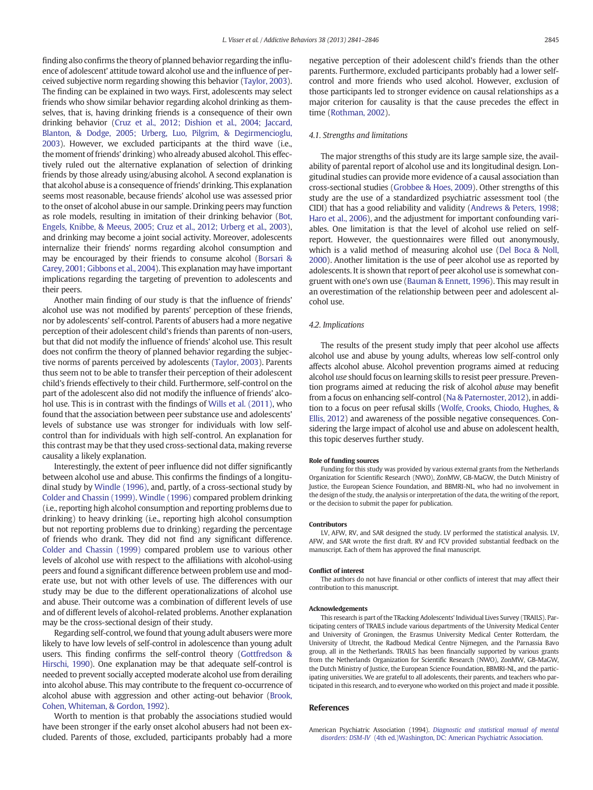<span id="page-4-0"></span>finding also confirms the theory of planned behavior regarding the influence of adolescent' attitude toward alcohol use and the influence of perceived subjective norm regarding showing this behavior [\(Taylor, 2003](#page-5-0)). The finding can be explained in two ways. First, adolescents may select friends who show similar behavior regarding alcohol drinking as themselves, that is, having drinking friends is a consequence of their own drinking behavior [\(Cruz et al., 2012; Dishion et al., 2004; Jaccard,](#page-5-0) [Blanton, & Dodge, 2005; Urberg, Luo, Pilgrim, & Degirmencioglu,](#page-5-0) [2003](#page-5-0)). However, we excluded participants at the third wave (i.e., the moment of friends' drinking) who already abused alcohol. This effectively ruled out the alternative explanation of selection of drinking friends by those already using/abusing alcohol. A second explanation is that alcohol abuse is a consequence of friends' drinking. This explanation seems most reasonable, because friends' alcohol use was assessed prior to the onset of alcohol abuse in our sample. Drinking peers may function as role models, resulting in imitation of their drinking behavior [\(Bot,](#page-5-0) [Engels, Knibbe, & Meeus, 2005; Cruz et al., 2012; Urberg et al., 2003](#page-5-0)), and drinking may become a joint social activity. Moreover, adolescents internalize their friends' norms regarding alcohol consumption and may be encouraged by their friends to consume alcohol ([Borsari &](#page-5-0) [Carey, 2001; Gibbons et al., 2004\)](#page-5-0). This explanation may have important implications regarding the targeting of prevention to adolescents and their peers.

Another main finding of our study is that the influence of friends' alcohol use was not modified by parents' perception of these friends, nor by adolescents' self-control. Parents of abusers had a more negative perception of their adolescent child's friends than parents of non-users, but that did not modify the influence of friends' alcohol use. This result does not confirm the theory of planned behavior regarding the subjective norms of parents perceived by adolescents ([Taylor, 2003\)](#page-5-0). Parents thus seem not to be able to transfer their perception of their adolescent child's friends effectively to their child. Furthermore, self-control on the part of the adolescent also did not modify the influence of friends' alcohol use. This is in contrast with the findings of [Wills et al. \(2011\),](#page-5-0) who found that the association between peer substance use and adolescents' levels of substance use was stronger for individuals with low selfcontrol than for individuals with high self-control. An explanation for this contrast may be that they used cross-sectional data, making reverse causality a likely explanation.

Interestingly, the extent of peer influence did not differ significantly between alcohol use and abuse. This confirms the findings of a longitudinal study by [Windle \(1996\),](#page-5-0) and, partly, of a cross-sectional study by [Colder and Chassin \(1999\)](#page-5-0). [Windle \(1996\)](#page-5-0) compared problem drinking (i.e., reporting high alcohol consumption and reporting problems due to drinking) to heavy drinking (i.e., reporting high alcohol consumption but not reporting problems due to drinking) regarding the percentage of friends who drank. They did not find any significant difference. [Colder and Chassin \(1999\)](#page-5-0) compared problem use to various other levels of alcohol use with respect to the affiliations with alcohol-using peers and found a significant difference between problem use and moderate use, but not with other levels of use. The differences with our study may be due to the different operationalizations of alcohol use and abuse. Their outcome was a combination of different levels of use and of different levels of alcohol-related problems. Another explanation may be the cross-sectional design of their study.

Regarding self-control, we found that young adult abusers were more likely to have low levels of self-control in adolescence than young adult users. This finding confirms the self-control theory [\(Gottfredson &](#page-5-0) [Hirschi, 1990\)](#page-5-0). One explanation may be that adequate self-control is needed to prevent socially accepted moderate alcohol use from derailing into alcohol abuse. This may contribute to the frequent co-occurrence of alcohol abuse with aggression and other acting-out behavior [\(Brook,](#page-5-0) [Cohen, Whiteman, & Gordon, 1992\)](#page-5-0).

Worth to mention is that probably the associations studied would have been stronger if the early onset alcohol abusers had not been excluded. Parents of those, excluded, participants probably had a more negative perception of their adolescent child's friends than the other parents. Furthermore, excluded participants probably had a lower selfcontrol and more friends who used alcohol. However, exclusion of those participants led to stronger evidence on causal relationships as a major criterion for causality is that the cause precedes the effect in time [\(Rothman, 2002\)](#page-5-0).

## 4.1. Strengths and limitations

The major strengths of this study are its large sample size, the availability of parental report of alcohol use and its longitudinal design. Longitudinal studies can provide more evidence of a causal association than cross-sectional studies ([Grobbee & Hoes, 2009](#page-5-0)). Other strengths of this study are the use of a standardized psychiatric assessment tool (the CIDI) that has a good reliability and validity [\(Andrews & Peters, 1998;](#page-5-0) [Haro et al., 2006\)](#page-5-0), and the adjustment for important confounding variables. One limitation is that the level of alcohol use relied on selfreport. However, the questionnaires were filled out anonymously, which is a valid method of measuring alcohol use ([Del Boca & Noll,](#page-5-0) [2000](#page-5-0)). Another limitation is the use of peer alcohol use as reported by adolescents. It is shown that report of peer alcohol use is somewhat congruent with one's own use [\(Bauman & Ennett, 1996\)](#page-5-0). This may result in an overestimation of the relationship between peer and adolescent alcohol use.

## 4.2. Implications

The results of the present study imply that peer alcohol use affects alcohol use and abuse by young adults, whereas low self-control only affects alcohol abuse. Alcohol prevention programs aimed at reducing alcohol use should focus on learning skills to resist peer pressure. Prevention programs aimed at reducing the risk of alcohol abuse may benefit from a focus on enhancing self-control [\(Na & Paternoster, 2012\)](#page-5-0), in addition to a focus on peer refusal skills [\(Wolfe, Crooks, Chiodo, Hughes, &](#page-5-0) [Ellis, 2012](#page-5-0)) and awareness of the possible negative consequences. Considering the large impact of alcohol use and abuse on adolescent health, this topic deserves further study.

### Role of funding sources

Funding for this study was provided by various external grants from the Netherlands Organization for Scientific Research (NWO), ZonMW, GB-MaGW, the Dutch Ministry of Justice, the European Science Foundation, and BBMRI-NL, who had no involvement in the design of the study, the analysis or interpretation of the data, the writing of the report, or the decision to submit the paper for publication.

#### Contributors

LV, AFW, RV, and SAR designed the study. LV performed the statistical analysis. LV, AFW, and SAR wrote the first draft. RV and FCV provided substantial feedback on the manuscript. Each of them has approved the final manuscript.

### Conflict of interest

The authors do not have financial or other conflicts of interest that may affect their contribution to this manuscript.

#### Acknowledgements

This research is part of the TRacking Adolescents' Individual Lives Survey (TRAILS). Participating centers of TRAILS include various departments of the University Medical Center and University of Groningen, the Erasmus University Medical Center Rotterdam, the University of Utrecht, the Radboud Medical Centre Nijmegen, and the Parnassia Bavo group, all in the Netherlands. TRAILS has been financially supported by various grants from the Netherlands Organization for Scientific Research (NWO), ZonMW, GB-MaGW, the Dutch Ministry of Justice, the European Science Foundation, BBMRI-NL, and the participating universities. We are grateful to all adolescents, their parents, and teachers who participated in this research, and to everyone who worked on this project and made it possible.

### References

American Psychiatric Association (1994). [Diagnostic and statistical manual of mental](http://refhub.elsevier.com/S0306-4603(13)00228-1/rf0005) disorders: DSM-IV [\(4th ed.\)Washington, DC: American Psychiatric Association.](http://refhub.elsevier.com/S0306-4603(13)00228-1/rf0005)